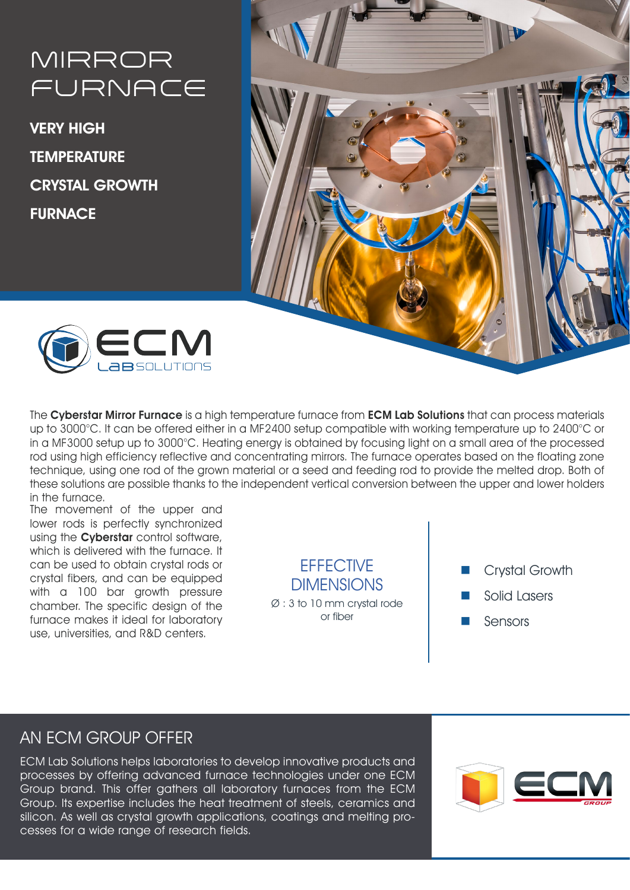# MIRROR FURNACE

VERY HIGH **TEMPERATURE** CRYSTAL GROWTH FURNACE





The Cyberstar Mirror Furnace is a high temperature furnace from ECM Lab Solutions that can process materials up to 3000°C. It can be offered either in a MF2400 setup compatible with working temperature up to 2400°C or in a MF3000 setup up to 3000°C. Heating energy is obtained by focusing light on a small area of the processed rod using high efficiency reflective and concentrating mirrors. The furnace operates based on the floating zone technique, using one rod of the grown material or a seed and feeding rod to provide the melted drop. Both of these solutions are possible thanks to the independent vertical conversion between the upper and lower holders in the furnace.

The movement of the upper and lower rods is perfectly synchronized using the **Cyberstar** control software, which is delivered with the furnace. It can be used to obtain crystal rods or crystal fibers, and can be equipped with a 100 bar growth pressure chamber. The specific design of the furnace makes it ideal for laboratory use, universities, and R&D centers.

**FFFFCTIVE DIMENSIONS** 

Ø : 3 to 10 mm crystal rode or fiber

- Crystal Growth
- Solid Lasers
- Sensors

# AN ECM GROUP OFFER

ECM Lab Solutions helps laboratories to develop innovative products and processes by offering advanced furnace technologies under one ECM Group brand. This offer gathers all laboratory furnaces from the ECM Group. Its expertise includes the heat treatment of steels, ceramics and silicon. As well as crystal growth applications, coatings and melting processes for a wide range of research fields.